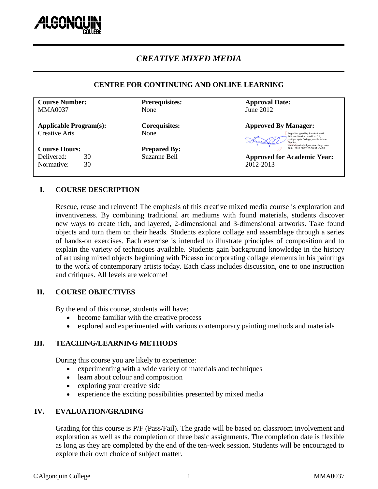

# *CREATIVE MIXED MEDIA*

# **CENTRE FOR CONTINUING AND ONLINE LEARNING**

| <b>Prerequisites:</b>        | <b>Approval Date:</b>                                                                                                                              |
|------------------------------|----------------------------------------------------------------------------------------------------------------------------------------------------|
| None                         | June $2012$                                                                                                                                        |
| <b>Corequisites:</b><br>None | <b>Approved By Manager:</b><br>Digitally signed by Sandra Larwill<br>DN: cn=Sandra Larwill, c=CA,<br>o=Algonquin College, ou=Part-time<br>Studies. |
| <b>Prepared By:</b>          | email=larwils@algonquincollege.com<br>Date: 2012.08.28 09:55:51 -04'00'                                                                            |
| Suzanne Bell                 | <b>Approved for Academic Year:</b>                                                                                                                 |
|                              | 2012-2013                                                                                                                                          |
|                              |                                                                                                                                                    |
|                              |                                                                                                                                                    |

# **I. COURSE DESCRIPTION**

Rescue, reuse and reinvent! The emphasis of this creative mixed media course is exploration and inventiveness. By combining traditional art mediums with found materials, students discover new ways to create rich, and layered, 2-dimensional and 3-dimensional artworks. Take found objects and turn them on their heads. Students explore collage and assemblage through a series of hands-on exercises. Each exercise is intended to illustrate principles of composition and to explain the variety of techniques available. Students gain background knowledge in the history of art using mixed objects beginning with Picasso incorporating collage elements in his paintings to the work of contemporary artists today. Each class includes discussion, one to one instruction and critiques. All levels are welcome!

# **II. COURSE OBJECTIVES**

By the end of this course, students will have:

- become familiar with the creative process
- explored and experimented with various contemporary painting methods and materials

# **III. TEACHING/LEARNING METHODS**

During this course you are likely to experience:

- experimenting with a wide variety of materials and techniques
- learn about colour and composition
- exploring your creative side
- experience the exciting possibilities presented by mixed media

# **IV. EVALUATION/GRADING**

Grading for this course is P/F (Pass/Fail). The grade will be based on classroom involvement and exploration as well as the completion of three basic assignments. The completion date is flexible as long as they are completed by the end of the ten-week session. Students will be encouraged to explore their own choice of subject matter.